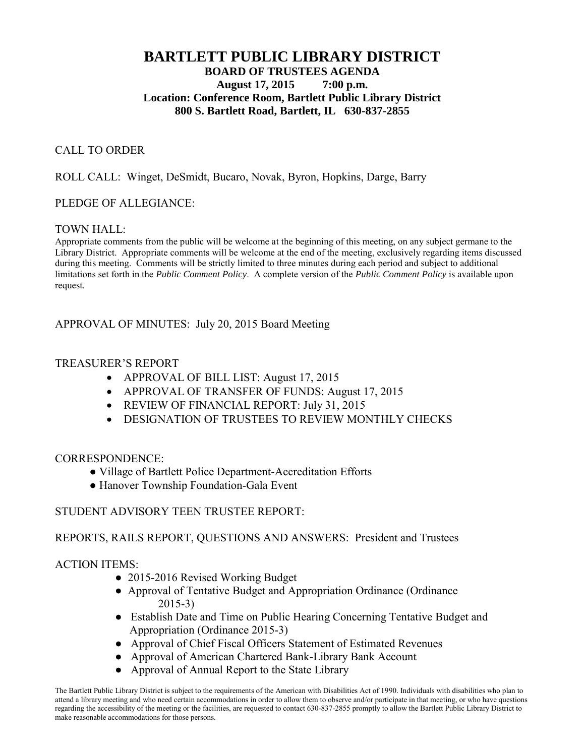# **BARTLETT PUBLIC LIBRARY DISTRICT BOARD OF TRUSTEES AGENDA August 17, 2015 7:00 p.m. Location: Conference Room, Bartlett Public Library District 800 S. Bartlett Road, Bartlett, IL 630-837-2855**

### CALL TO ORDER

### ROLL CALL: Winget, DeSmidt, Bucaro, Novak, Byron, Hopkins, Darge, Barry

### PLEDGE OF ALLEGIANCE:

### TOWN HALL:

Appropriate comments from the public will be welcome at the beginning of this meeting, on any subject germane to the Library District. Appropriate comments will be welcome at the end of the meeting, exclusively regarding items discussed during this meeting. Comments will be strictly limited to three minutes during each period and subject to additional limitations set forth in the *Public Comment Policy*. A complete version of the *Public Comment Policy* is available upon request.

### APPROVAL OF MINUTES: July 20, 2015 Board Meeting

### TREASURER'S REPORT

- APPROVAL OF BILL LIST: August 17, 2015
- APPROVAL OF TRANSFER OF FUNDS: August 17, 2015
- REVIEW OF FINANCIAL REPORT: July 31, 2015
- DESIGNATION OF TRUSTEES TO REVIEW MONTHLY CHECKS

### CORRESPONDENCE:

- Village of Bartlett Police Department-Accreditation Efforts
- Hanover Township Foundation-Gala Event

# STUDENT ADVISORY TEEN TRUSTEE REPORT:

# REPORTS, RAILS REPORT, QUESTIONS AND ANSWERS: President and Trustees

# ACTION ITEMS:

- 2015-2016 Revised Working Budget
- Approval of Tentative Budget and Appropriation Ordinance (Ordinance 2015-3)
- Establish Date and Time on Public Hearing Concerning Tentative Budget and Appropriation (Ordinance 2015-3)
- Approval of Chief Fiscal Officers Statement of Estimated Revenues
- Approval of American Chartered Bank-Library Bank Account
- Approval of Annual Report to the State Library

The Bartlett Public Library District is subject to the requirements of the American with Disabilities Act of 1990. Individuals with disabilities who plan to attend a library meeting and who need certain accommodations in order to allow them to observe and/or participate in that meeting, or who have questions regarding the accessibility of the meeting or the facilities, are requested to contact 630-837-2855 promptly to allow the Bartlett Public Library District to make reasonable accommodations for those persons.